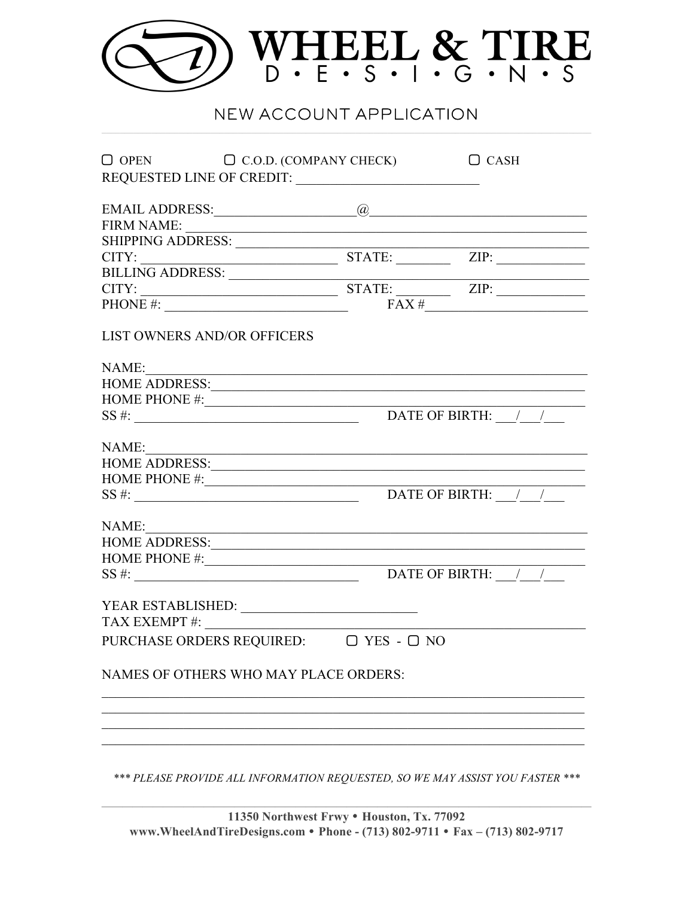

## NEW ACCOUNT APPLICATION

| FIRM NAME:<br>SHIPPING ADDRESS: STATE: ZIP: ZIP: THE BILLING ADDRESS: STATE: THE CITY:<br>$CITY:$ STATE: $ZIP:$<br>PHONE #: |
|-----------------------------------------------------------------------------------------------------------------------------|
|                                                                                                                             |
|                                                                                                                             |
|                                                                                                                             |
|                                                                                                                             |
|                                                                                                                             |
|                                                                                                                             |
|                                                                                                                             |
|                                                                                                                             |
| <u> 1989 - Johann Stoff, Amerikaansk politiker († 1908)</u>                                                                 |
|                                                                                                                             |
| HOME PHONE #: $\frac{1}{2}$                                                                                                 |
|                                                                                                                             |
|                                                                                                                             |
| NAME:                                                                                                                       |
| HOME PHONE #: $\frac{1}{2}$                                                                                                 |
|                                                                                                                             |
|                                                                                                                             |
| NAME:                                                                                                                       |
|                                                                                                                             |
|                                                                                                                             |
|                                                                                                                             |
|                                                                                                                             |
|                                                                                                                             |
| PURCHASE ORDERS REQUIRED: $\Box$ YES - $\Box$ NO                                                                            |
|                                                                                                                             |
| NAMES OF OTHERS WHO MAY PLACE ORDERS:                                                                                       |
|                                                                                                                             |
|                                                                                                                             |
|                                                                                                                             |
|                                                                                                                             |
|                                                                                                                             |

\*\*\* PLEASE PROVIDE ALL INFORMATION REQUESTED, SO WE MAY ASSIST YOU FASTER \*\*\*